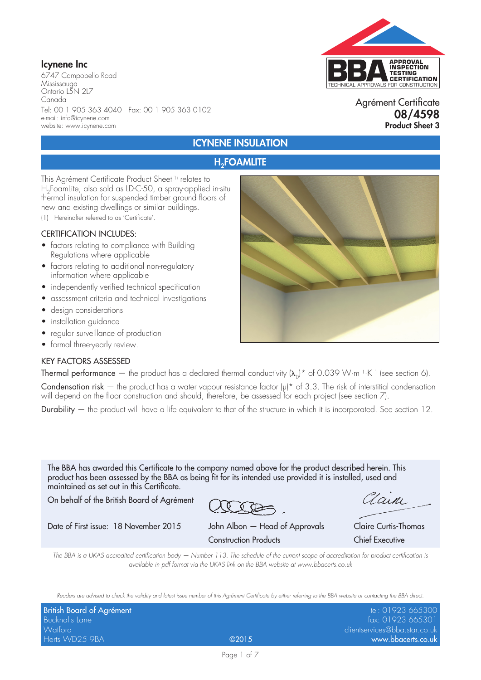# Icynene Inc

6747 Campobello Road Mississauga Ontario L5N 2L7 Canada Tel: 00 1 905 363 4040 Fax: 00 1 905 363 0102 e-mail: info@icynene.com website: www.icynene.com



### Agrément Certificate 08/4598 Product Sheet 3

# ICYNENE INSULATION

## **H<sub>2</sub>FOAMLITE**

This Agrément Certificate Product Sheet<sup>(1)</sup> relates to H<sub>2</sub>FoamLite, also sold as LD-C-50, a spray-applied in-situ thermal insulation for suspended timber ground floors of new and existing dwellings or similar buildings.

(1) Hereinafter referred to as 'Certificate'.

#### CERTIFICATION INCLUDES:

- factors relating to compliance with Building Regulations where applicable
- factors relating to additional non-regulatory information where applicable
- independently verified technical specification
- assessment criteria and technical investigations
- design considerations
- installation guidance
- regular surveillance of production
- formal three-yearly review.

#### KEY FACTORS ASSESSED



Thermal performance — the product has a declared thermal conductivity  $(\lambda_n)^*$  of 0.039 W·m<sup>-1</sup>·K<sup>-1</sup> (see section 6).

Condensation risk – the product has a water vapour resistance factor  $(\mu)^*$  of 3.3. The risk of interstitial condensation will depend on the floor construction and should, therefore, be assessed for each project (see section 7).

Durability — the product will have a life equivalent to that of the structure in which it is incorporated. See section 12.

The BBA has awarded this Certificate to the company named above for the product described herein. This product has been assessed by the BBA as being fit for its intended use provided it is installed, used and maintained as set out in this Certificate.

On behalf of the British Board of Agrément

Date of First issue: 18 November 2015 John Albon — Head of Approvals Claire Curtis-Thomas

Clain

Construction Products Chief Executive

*The BBA is a UKAS accredited certification body — Number 113. The schedule of the current scope of accreditation for product certification is available in pdf format via the UKAS link on the BBA website at www.bbacerts.co.uk*

*Readers are advised to check the validity and latest issue number of this Agrément Certificate by either referring to the BBA website or contacting the BBA direct.*

| British Board of Agrément |       | tel: 01923 665300             |
|---------------------------|-------|-------------------------------|
| Bucknalls Lane            |       | fax: 01923 665301             |
| <b>Watford</b>            |       | clientservices@bba.star.co.uk |
| Herts WD25 9BA            | @2015 | www.bbacerts.co.uk            |

Page 1 of 7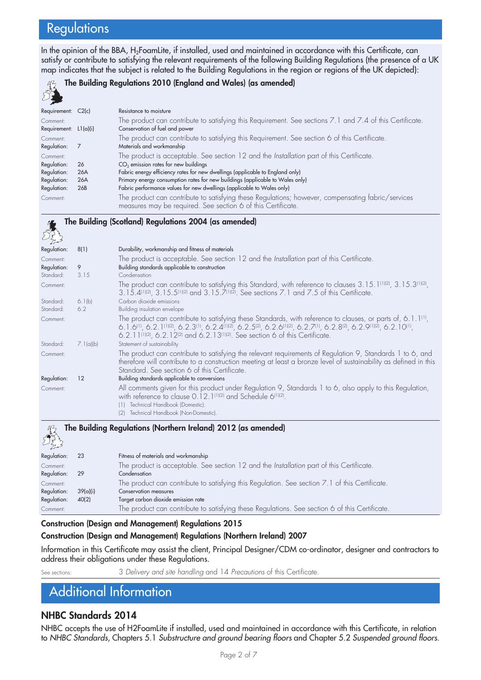# **Regulations**

In the opinion of the BBA, H<sub>2</sub>FoamLite, if installed, used and maintained in accordance with this Certificate, can satisfy or contribute to satisfying the relevant requirements of the following Building Regulations (the presence of a UK map indicates that the subject is related to the Building Regulations in the region or regions of the UK depicted):



#### The Building Regulations 2010 (England and Wales) (as amended)

| Requirement: C2(c)      |     | Resistance to moisture                                                                                   |
|-------------------------|-----|----------------------------------------------------------------------------------------------------------|
| Comment:                |     | The product can contribute to satisfying this Requirement. See sections 7.1 and 7.4 of this Certificate. |
| Requirement: $L1(a)(i)$ |     | Conservation of fuel and power                                                                           |
| Comment:                |     | The product can contribute to satisfying this Requirement. See section 6 of this Certificate.            |
| Regulation:             |     | Materials and workmanship                                                                                |
| Comment:                |     | The product is acceptable. See section 12 and the Installation part of this Certificate.                 |
| Regulation:             | 26  | CO <sub>2</sub> emission rates for new buildings                                                         |
| Regulation:             | 26A | Fabric energy efficiency rates for new dwellings (applicable to England only)                            |
| Regulation:             | 26A | Primary energy consumption rates for new buildings (applicable to Wales only)                            |
| Regulation:             | 26B | Fabric performance values for new dwellings (applicable to Wales only)                                   |
| Comment:                |     | The product can contribute to satisfying these Regulations; however, compensating fabric/services        |
|                         |     | measures may be required. See section 6 of this Certificate.                                             |

#### The Building (Scotland) Regulations 2004 (as amended)

| Regulation: | 8(1)      | Durability, workmanship and fitness of materials                                                                                                                                                                                                                                                                             |
|-------------|-----------|------------------------------------------------------------------------------------------------------------------------------------------------------------------------------------------------------------------------------------------------------------------------------------------------------------------------------|
| Comment:    |           | The product is acceptable. See section 12 and the Installation part of this Certificate.                                                                                                                                                                                                                                     |
| Regulation: | 9         | Building standards applicable to construction                                                                                                                                                                                                                                                                                |
| Standard:   | 3.15      | Condensation                                                                                                                                                                                                                                                                                                                 |
| Comment:    |           | The product can contribute to satisfying this Standard, with reference to clauses $3.15.1^{01(2)}$ , $3.15.3^{01(2)}$ ,<br>3.15.4(1)(2), 3.15.5(1)(2) and 3.15.7(1)(2). See sections 7.1 and 7.5 of this Certificate.                                                                                                        |
| Standard:   | 6.1(b)    | Carbon dioxide emissions                                                                                                                                                                                                                                                                                                     |
| Standard:   | 6.2       | Building insulation envelope                                                                                                                                                                                                                                                                                                 |
| Comment:    |           | The product can contribute to satisfying these Standards, with reference to clauses, or parts of, 6.1.1 <sup>(1)</sup> ,<br>6.1.6(1), 6.2.1(1)(2), 6.2.3(1), 6.2.4(1)(2), 6.2.5(2), 6.2.6(1)(2), 6.2.7(1), 6.2.8(2), 6.2.9(1)(2), 6.2.10(1),<br>6.2.11(1)(2), 6.2.12(2) and 6.2.13(1)(2). See section 6 of this Certificate. |
| Standard:   | 7.1(a)(b) | Statement of sustainability                                                                                                                                                                                                                                                                                                  |
| Comment:    |           | The product can contribute to satisfying the relevant requirements of Regulation 9, Standards 1 to 6, and<br>therefore will contribute to a construction meeting at least a bronze level of sustainability as defined in this<br>Standard. See section 6 of this Certificate.                                                |
| Regulation: | 12        | Building standards applicable to conversions                                                                                                                                                                                                                                                                                 |
| Comment:    |           | All comments given for this product under Regulation 9, Standards 1 to 6, also apply to this Regulation,<br>with reference to clause 0.12.1 <sup>(1)(2)</sup> and Schedule 6 <sup>(1)(2)</sup> .<br>Technical Handbook (Domestic).<br>(1)<br>Technical Handbook (Non-Domestic).<br>(2)                                       |
| 37          |           | The Building Regulations (Northern Ireland) 2012 (as amended)                                                                                                                                                                                                                                                                |



| د مع کر     |          |                                                                                                |
|-------------|----------|------------------------------------------------------------------------------------------------|
| Regulation: | 23       | Fitness of materials and workmanship                                                           |
| Comment:    |          | The product is acceptable. See section 12 and the Installation part of this Certificate.       |
| Regulation: | -29      | Condensation                                                                                   |
| Comment:    |          | The product can contribute to satisfying this Regulation. See section 7.1 of this Certificate. |
| Regulation: | 39(a)(i) | <b>Conservation measures</b>                                                                   |
| Regulation: | 40(2)    | Target carbon dioxide emission rate                                                            |
| Comment:    |          | The product can contribute to satisfying these Regulations. See section 6 of this Certificate. |
|             |          |                                                                                                |

#### Construction (Design and Management) Regulations 2015

#### Construction (Design and Management) Regulations (Northern Ireland) 2007

Information in this Certificate may assist the client, Principal Designer/CDM co-ordinator, designer and contractors to address their obligations under these Regulations.

See sections: 3 *Delivery and site handling* and 14 *Precautions* of this Certificate.

# Additional Information

### NHBC Standards 2014

NHBC accepts the use of H2FoamLite if installed, used and maintained in accordance with this Certificate, in relation to *NHBC Standards*, Chapters 5.1 *Substructure and ground bearing floors* and Chapter 5.2 *Suspended ground floors*.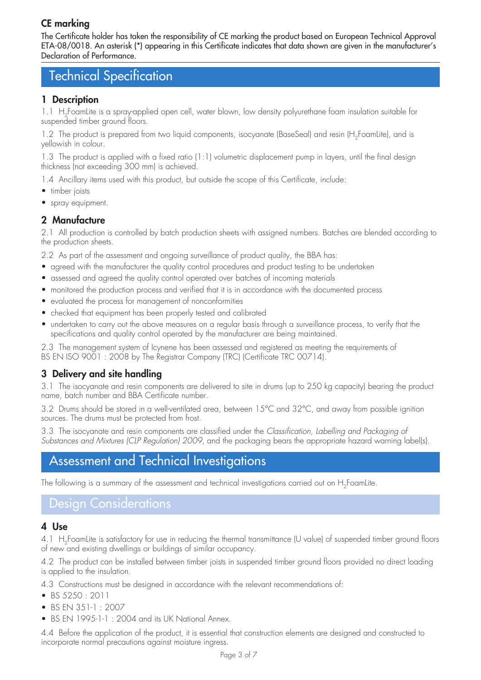# CE marking

The Certificate holder has taken the responsibility of CE marking the product based on European Technical Approval ETA-08/0018. An asterisk (\*) appearing in this Certificate indicates that data shown are given in the manufacturer's Declaration of Performance.

# Technical Specification

## 1 Description

1.1 H<sub>2</sub>FoamLite is a spray-applied open cell, water blown, low density polyurethane foam insulation suitable for suspended timber ground floors.

1.2 The product is prepared from two liquid components, isocyanate (BaseSeal) and resin (H<sub>2</sub>FoamLite), and is yellowish in colour.

1.3 The product is applied with a fixed ratio (1:1) volumetric displacement pump in layers, until the final design thickness (not exceeding 300 mm) is achieved.

1.4 Ancillary items used with this product, but outside the scope of this Certificate, include:

- timber joists
- spray equipment.

## 2 Manufacture

2.1 All production is controlled by batch production sheets with assigned numbers. Batches are blended according to the production sheets.

2.2 As part of the assessment and ongoing surveillance of product quality, the BBA has:

- agreed with the manufacturer the quality control procedures and product testing to be undertaken
- assessed and agreed the quality control operated over batches of incoming materials
- monitored the production process and verified that it is in accordance with the documented process
- evaluated the process for management of nonconformities
- checked that equipment has been properly tested and calibrated
- undertaken to carry out the above measures on a regular basis through a surveillance process, to verify that the specifications and quality control operated by the manufacturer are being maintained.

2.3 The management system of Icynene has been assessed and registered as meeting the requirements of BS EN ISO 9001 : 2008 by The Registrar Company (TRC) (Certificate TRC 00714).

# 3 Delivery and site handling

3.1 The isocyanate and resin components are delivered to site in drums (up to 250 kg capacity) bearing the product name, batch number and BBA Certificate number.

3.2 Drums should be stored in a well-ventilated area, between 15°C and 32°C, and away from possible ignition sources. The drums must be protected from frost.

3.3 The isocyanate and resin components are classified under the *Classification, Labelling and Packaging of Substances and Mixtures (CLP Regulation) 2009*, and the packaging bears the appropriate hazard warning label(s).

# Assessment and Technical Investigations

The following is a summary of the assessment and technical investigations carried out on H<sub>2</sub>FoamLite.

# Design Considerations

### 4 Use

4.1 H<sub>2</sub>FoamLite is satisfactory for use in reducing the thermal transmittance (U value) of suspended timber ground floors of new and existing dwellings or buildings of similar occupancy.

4.2 The product can be installed between timber joists in suspended timber ground floors provided no direct loading is applied to the insulation.

4.3 Constructions must be designed in accordance with the relevant recommendations of:

- • BS 5250 : 2011
- BS EN 351-1 : 2007
- BS EN 1995-1-1: 2004 and its UK National Annex.

4.4 Before the application of the product, it is essential that construction elements are designed and constructed to incorporate normal precautions against moisture ingress.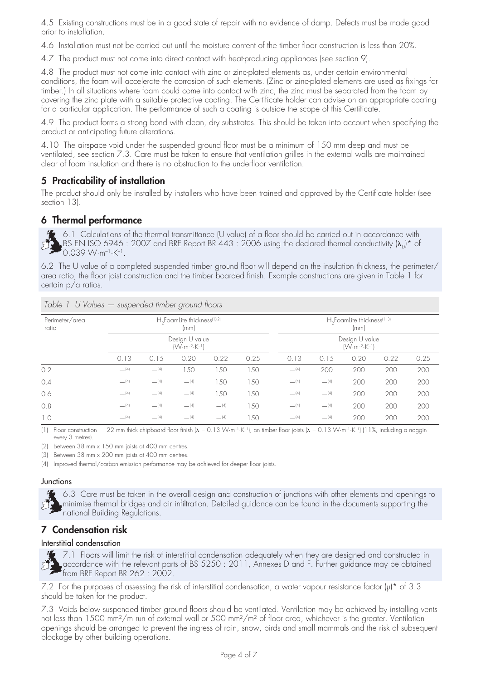4.5 Existing constructions must be in a good state of repair with no evidence of damp. Defects must be made good prior to installation.

4.6 Installation must not be carried out until the moisture content of the timber floor construction is less than 20%.

4.7 The product must not come into direct contact with heat-producing appliances (see section 9).

4.8 The product must not come into contact with zinc or zinc-plated elements as, under certain environmental conditions, the foam will accelerate the corrosion of such elements. (Zinc or zinc-plated elements are used as fixings for timber.) In all situations where foam could come into contact with zinc, the zinc must be separated from the foam by covering the zinc plate with a suitable protective coating. The Certificate holder can advise on an appropriate coating for a particular application. The performance of such a coating is outside the scope of this Certificate.

4.9 The product forms a strong bond with clean, dry substrates. This should be taken into account when specifying the product or anticipating future alterations.

4.10 The airspace void under the suspended ground floor must be a minimum of 150 mm deep and must be ventilated, see section 7.3. Care must be taken to ensure that ventilation grilles in the external walls are maintained clear of foam insulation and there is no obstruction to the underfloor ventilation.

# 5 Practicability of installation

The product should only be installed by installers who have been trained and approved by the Certificate holder (see section 13).

## 6 Thermal performance

6.1 Calculations of the thermal transmittance (U value) of a floor should be carried out in accordance with BS EN ISO 6946 : 2007 and BRE Report BR 443 : 2006 using the declared thermal conductivity  $(\lambda_0)^*$  of  $55$  BS EIN 100 01.  $K^{-1}$ .

6.2 The U value of a completed suspended timber ground floor will depend on the insulation thickness, the perimeter/ area ratio, the floor joist construction and the timber boarded finish. Example constructions are given in Table 1 for certain p/a ratios.

| Perimeter/area<br>ratio | $H_2$ FoamLite thickness <sup>(1)(2)</sup><br>(mm) |                                                     |           |           |      |           | $H_2$ FoamLite thickness <sup>(1)(3)</sup><br>(mm)<br>Design U value<br>$(W \cdot m^{-2} \cdot K^{-1})$ |      |      |      |  |
|-------------------------|----------------------------------------------------|-----------------------------------------------------|-----------|-----------|------|-----------|---------------------------------------------------------------------------------------------------------|------|------|------|--|
|                         |                                                    | Design U value<br>$( W \cdot m^{-2} \cdot K^{-1} )$ |           |           |      |           |                                                                                                         |      |      |      |  |
|                         | 0.13                                               | 0.15                                                | 0.20      | 0.22      | 0.25 | 0.13      | 0.15                                                                                                    | 0.20 | 0.22 | 0.25 |  |
| 0.2                     | $-^{(4)}$                                          | $-^{(4)}$                                           | 150       | 50        | 150  | $-^{(4)}$ | 200                                                                                                     | 200  | 200  | 200  |  |
| 0.4                     | $-^{(4)}$                                          | $- (4)$                                             | $-$ (4)   | 50        | 150  | $-^{(4)}$ | $-^{(4)}$                                                                                               | 200  | 200  | 200  |  |
| 0.6                     | $-^{(4)}$                                          | $-^{(4)}$                                           | $-$ (4)   | 50        | 150  | $-^{(4)}$ | $- (4)$                                                                                                 | 200  | 200  | 200  |  |
| 0.8                     | $-^{(4)}$                                          | $-^{(4)}$                                           | $-^{(4)}$ | $-^{(4)}$ | 150  | $-^{(4)}$ | $-^{(4)}$                                                                                               | 200  | 200  | 200  |  |
| 1.0                     | $- (4)$                                            | $- (4)$                                             | $-$ (4)   | $- (4)$   | 150  | $- (4)$   | $- (4)$                                                                                                 | 200  | 200  | 200  |  |

*Table 1 U Values — suspended timber ground floors*

(1) Floor construction  $-22$  mm thick chipboard floor finish  $(\lambda = 0.13 \text{ W} \cdot \text{m}^{-1} \cdot \text{K}^{-1})$ , on timber floor joists  $(\lambda = 0.13 \text{ W} \cdot \text{m}^{-1} \cdot \text{K}^{-1})$  (11%, including a noggin every 3 metres).

(2) Between 38 mm x 150 mm joists at 400 mm centres.

(3) Between 38 mm x 200 mm joists at 400 mm centres.

(4) Improved thermal/carbon emission performance may be achieved for deeper floor joists.

#### **Junctions**

6.3 Care must be taken in the overall design and construction of junctions with other elements and openings to minimise thermal bridges and air infiltration. Detailed guidance can be found in the documents supporting the  $\mathbf{J}_2$ national Building Regulations.

# 7 Condensation risk

#### Interstitial condensation

**7.1** Floors will limit the risk of interstitial condensation adequately when they are designed and constructed in accordance with the relevant parts of BS 5250 : 2011, Annexes D and F. Further guidance may be obtained ecordance will his toletal property from BRE Report BR 262 : 2002.

7.2 For the purposes of assessing the risk of interstitial condensation, a water vapour resistance factor (μ)\* of 3.3 should be taken for the product.

7.3 Voids below suspended timber ground floors should be ventilated. Ventilation may be achieved by installing vents not less than 1500 mm2/m run of external wall or 500 mm2/m2 of floor area, whichever is the greater. Ventilation openings should be arranged to prevent the ingress of rain, snow, birds and small mammals and the risk of subsequent blockage by other building operations.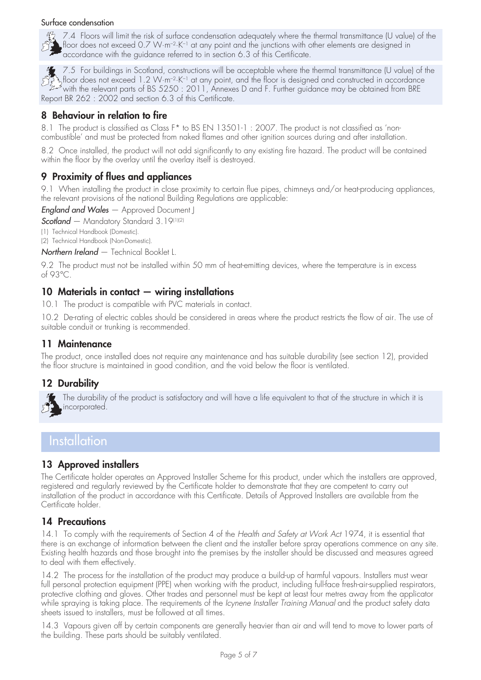#### Surface condensation



7.4 Floors will limit the risk of surface condensation adequately where the thermal transmittance (U value) of the floor does not exceed 0.7 W·m–2·K–1 at any point and the junctions with other elements are designed in accordance with the guidance referred to in section 6.3 of this Certificate.

7.5 For buildings in Scotland, constructions will be acceptable where the thermal transmittance (U value) of the floor does not exceed 1.2 W·m<sup>-2</sup>·K<sup>-1</sup> at any point, and the floor is designed and constructed in accordance with the relevant parts of BS 5250 : 2011, Annexes D and F. Further guidance may be obtained from BRE Report BR 262 : 2002 and section 6.3 of this Certificate.

# 8 Behaviour in relation to fire

8.1 The product is classified as Class F\* to BS EN 13501-1 : 2007. The product is not classified as 'noncombustible' and must be protected from naked flames and other ignition sources during and after installation.

8.2 Once installed, the product will not add significantly to any existing fire hazard. The product will be contained within the floor by the overlay until the overlay itself is destroyed.

# 9 Proximity of flues and appliances

9.1 When installing the product in close proximity to certain flue pipes, chimneys and/or heat-producing appliances, the relevant provisions of the national Building Regulations are applicable:

*England and Wales* — Approved Document J

*Scotland* — Mandatory Standard 3.19(1)(2)

(1) Technical Handbook (Domestic). (2) Technical Handbook (Non-Domestic).

*Northern Ireland* — Technical Booklet L.

9.2 The product must not be installed within 50 mm of heat-emitting devices, where the temperature is in excess of 93°C.

## 10 Materials in contact — wiring installations

10.1 The product is compatible with PVC materials in contact.

10.2 De-rating of electric cables should be considered in areas where the product restricts the flow of air. The use of suitable conduit or trunking is recommended.

### 11 Maintenance

The product, once installed does not require any maintenance and has suitable durability (see section 12), provided the floor structure is maintained in good condition, and the void below the floor is ventilated.

## 12 Durability



The durability of the product is satisfactory and will have a life equivalent to that of the structure in which it is incorporated.

# **Installation**

## 13 Approved installers

The Certificate holder operates an Approved Installer Scheme for this product, under which the installers are approved, registered and regularly reviewed by the Certificate holder to demonstrate that they are competent to carry out installation of the product in accordance with this Certificate. Details of Approved Installers are available from the Certificate holder.

## 14 Precautions

14.1 To comply with the requirements of Section 4 of the *Health and Safety at Work Act* 1974, it is essential that there is an exchange of information between the client and the installer before spray operations commence on any site. Existing health hazards and those brought into the premises by the installer should be discussed and measures agreed to deal with them effectively.

14.2 The process for the installation of the product may produce a build-up of harmful vapours. Installers must wear full personal protection equipment (PPE) when working with the product, including full-face fresh-air-supplied respirators, protective clothing and gloves. Other trades and personnel must be kept at least four metres away from the applicator while spraying is taking place. The requirements of the *Icynene Installer Training Manual* and the product safety data sheets issued to installers, must be followed at all times.

14.3 Vapours given off by certain components are generally heavier than air and will tend to move to lower parts of the building. These parts should be suitably ventilated.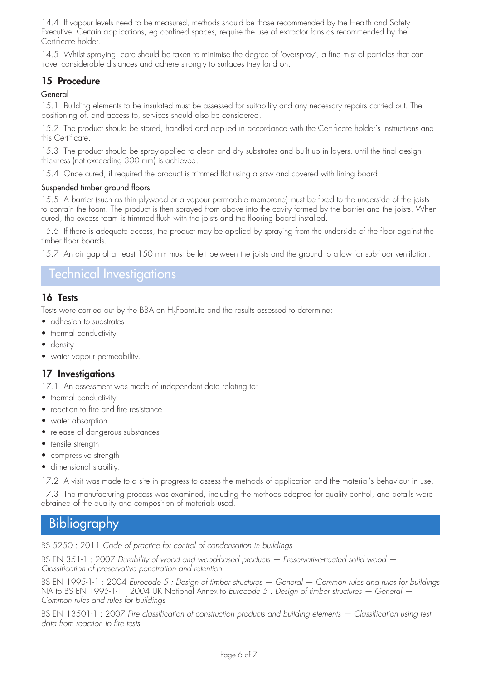14.4 If vapour levels need to be measured, methods should be those recommended by the Health and Safety Executive. Certain applications, eg confined spaces, require the use of extractor fans as recommended by the Certificate holder.

14.5 Whilst spraying, care should be taken to minimise the degree of 'overspray', a fine mist of particles that can travel considerable distances and adhere strongly to surfaces they land on.

# 15 Procedure

### General

15.1 Building elements to be insulated must be assessed for suitability and any necessary repairs carried out. The positioning of, and access to, services should also be considered.

15.2 The product should be stored, handled and applied in accordance with the Certificate holder's instructions and this Certificate.

15.3 The product should be spray-applied to clean and dry substrates and built up in layers, until the final design thickness (not exceeding 300 mm) is achieved.

15.4 Once cured, if required the product is trimmed flat using a saw and covered with lining board.

#### Suspended timber ground floors

15.5 A barrier (such as thin plywood or a vapour permeable membrane) must be fixed to the underside of the joists to contain the foam. The product is then sprayed from above into the cavity formed by the barrier and the joists. When cured, the excess foam is trimmed flush with the joists and the flooring board installed.

15.6 If there is adequate access, the product may be applied by spraying from the underside of the floor against the timber floor boards.

15.7 An air gap of at least 150 mm must be left between the joists and the ground to allow for sub-floor ventilation.

# Technical Investigations

## 16 Tests

Tests were carried out by the BBA on H<sub>2</sub>FoamLite and the results assessed to determine:

- adhesion to substrates
- thermal conductivity
- density
- water vapour permeability.

# 17 Investigations

17.1 An assessment was made of independent data relating to:

- thermal conductivity
- reaction to fire and fire resistance
- water absorption
- release of dangerous substances
- tensile strength
- compressive strength
- dimensional stability.

17.2 A visit was made to a site in progress to assess the methods of application and the material's behaviour in use.

17.3 The manufacturing process was examined, including the methods adopted for quality control, and details were obtained of the quality and composition of materials used.

# Bibliography

BS 5250 : 2011 *Code of practice for control of condensation in buildings*

BS EN 351-1 : 2007 *Durability of wood and wood-based products — Preservative-treated solid wood — Classification of preservative penetration and retention*

BS EN 1995-1-1 : 2004 *Eurocode 5 : Design of timber structures — General — Common rules and rules for buildings* NA to BS EN 1995-1-1 : 2004 UK National Annex to *Eurocode 5 : Design of timber structures — General — Common rules and rules for buildings*

BS EN 13501-1 : 2007 *Fire classification of construction products and building elements — Classification using test data from reaction to fire tests*